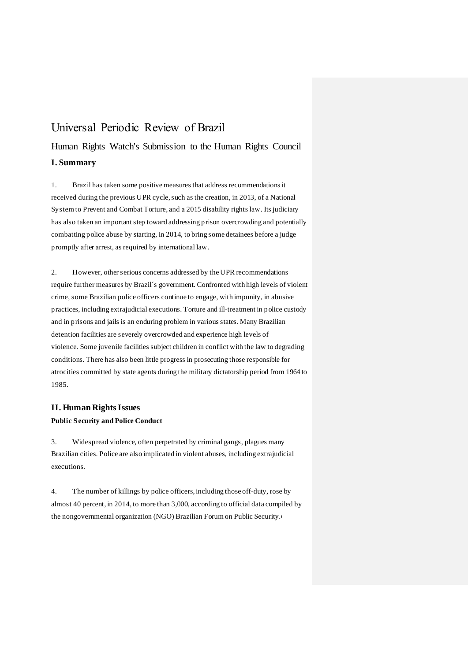# Universal Periodic Review of Brazil

# Human Rights Watch's Submission to the Human Rights Council **I. Summary**

1. Brazil has taken some positive measures that address recommendations it received during the previous UPR cycle, such as the creation, in 2013, of a National System to Prevent and Combat Torture, and a 2015 disability rights law. Its judiciary has also taken an important step toward addressing prison overcrowding and potentially combatting police abuse by starting, in 2014, to bring some detainees before a judge promptly after arrest, as required by international law.

2. However, other serious concerns addressed by the UPR recommendations require further measures by Brazil´s government. Confronted with high levels of violent crime, some Brazilian police officers continue to engage, with impunity, in abusive practices, including extrajudicial executions. Torture and ill-treatment in police custody and in prisons and jails is an enduring problem in various states. Many Brazilian detention facilities are severely overcrowded and experience high levels of violence. Some juvenile facilities subject children in conflict with the law to degrading conditions. There has also been little progress in prosecuting those responsible for atrocities committed by state agents during the military dictatorship period from 1964 to 1985.

## **II. Human Rights Issues Public Security and Police Conduct**

3. Widespread violence, often perpetrated by criminal gangs, plagues many Brazilian cities. Police are also implicated in violent abuses, including extrajudicial executions.

4. The number of killings by police officers, including those off-duty, rose by almost 40 percent, in 2014, to more than 3,000, according to official data compiled by the nongovernmental organization (NGO) Brazilian Forum on Public Security.i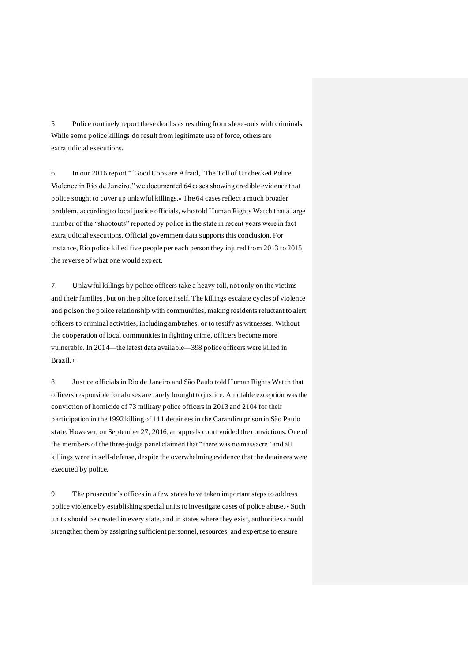5. Police routinely report these deaths as resulting from shoot-outs with criminals. While some police killings do result from legitimate use of force, others are extrajudicial executions.

6. In our 2016 report "´Good Cops are Afraid,´ The Toll of Unchecked Police Violence in Rio de Janeiro," we documented 64 cases showing credible evidence that police sought to cover up unlawful killings.ii The 64 cases reflect a much broader problem, according to local justice officials, who told Human Rights Watch that a large number of the "shootouts" reported by police in the state in recent years were in fact extrajudicial executions. Official government data supports this conclusion. For instance, Rio police killed five people per each person they injured from 2013 to 2015, the reverse of what one would expect.

7. Unlawful killings by police officers take a heavy toll, not only on the victims and their families, but on the police force itself. The killings escalate cycles of violence and poison the police relationship with communities, making residents reluctant to alert officers to criminal activities, including ambushes, or to testify as witnesses. Without the cooperation of local communities in fighting crime, officers become more vulnerable. In 2014—the latest data available—398 police officers were killed in Brazil.iii

8. Justice officials in Rio de Janeiro and São Paulo told Human Rights Watch that officers responsible for abuses are rarely brought to justice. A notable exception was the conviction of homicide of 73 military police officers in 2013 and 2104 for their participation in the 1992 killing of 111 detainees in the Carandiru prison in São Paulo state. However, on September 27, 2016, an appeals court voided the convictions. One of the members of the three-judge panel claimed that "there was no massacre" and all killings were in self-defense, despite the overwhelming evidence that the detainees were executed by police.

9. The prosecutor´s offices in a few states have taken important steps to address police violence by establishing special units to investigate cases of police abuse.iv Such units should be created in every state, and in states where they exist, authorities should strengthen them by assigning sufficient personnel, resources, and expertise to ensure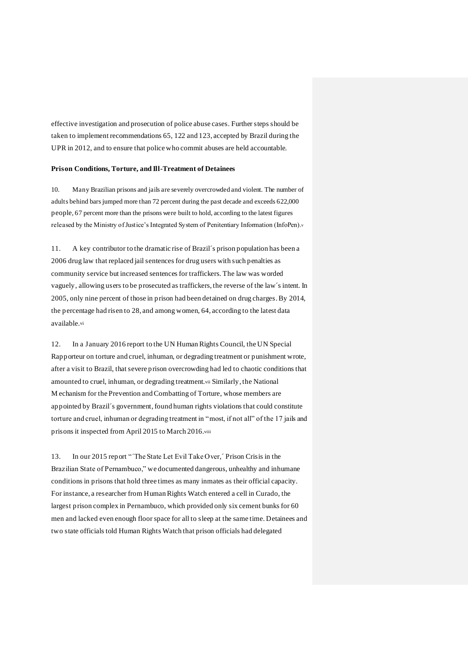effective investigation and prosecution of police abuse cases. Further steps should be taken to implement recommendations 65, 122 and 123, accepted by Brazil during the UPR in 2012, and to ensure that police who commit abuses are held accountable.

#### **Prison Conditions, Torture, and Ill-Treatment of Detainees**

10. Many Brazilian prisons and jails are severely overcrowded and violent. The number of adults behind bars jumped more than 72 percent during the past decade and exceeds 622,000 people, 67 percent more than the prisons were built to hold, according to the latest figures released by the Ministry of Justice's Integrated System of Penitentiary Information (InfoPen).<sup>v</sup>

11. A key contributor to the dramatic rise of Brazil´s prison population has been a 2006 drug law that replaced jail sentences for drug users with such penalties as community service but increased sentences for traffickers. The law was worded vaguely, allowing users to be prosecuted as traffickers, the reverse of the law´s intent. In 2005, only nine percent of those in prison had been detained on drug charges. By 2014, the percentage had risen to 28, and among women, 64, according to the latest data available.vi

12. In a January 2016 report to the UN Human Rights Council, the UN Special Rapporteur on torture and cruel, inhuman, or degrading treatment or punishment wrote, after a visit to Brazil, that severe prison overcrowding had led to chaotic conditions that amounted to cruel, inhuman, or degrading treatment.vii Similarly, the National M echanism for the Prevention and Combatting of Torture, whose members are appointed by Brazil´s government, found human rights violations that could constitute torture and cruel, inhuman or degrading treatment in "most, if not all" of the 17 jails and prisons it inspected from April 2015 to March 2016.viii

13. In our 2015 report "´The State Let Evil Take Over,´ Prison Crisis in the Brazilian State of Pernambuco," we documented dangerous, unhealthy and inhumane conditions in prisons that hold three times as many inmates as their official capacity. For instance, a researcher from Human Rights Watch entered a cell in Curado, the largest prison complex in Pernambuco, which provided only six cement bunks for 60 men and lacked even enough floor space for all to sleep at the same time. Detainees and two state officials told Human Rights Watch that prison officials had delegated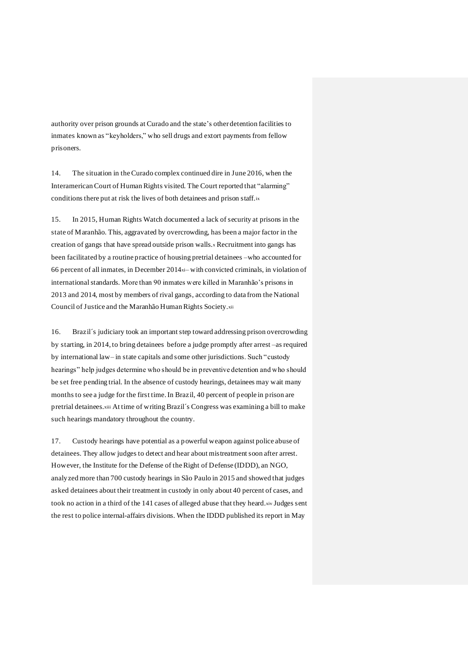authority over prison grounds at Curado and the state's other detention facilities to inmates known as "keyholders," who sell drugs and extort payments from fellow prisoners.

14. The situation in the Curado complex continued dire in June 2016, when the Interamerican Court of Human Rights visited. The Court reported that "alarming" conditions there put at risk the lives of both detainees and prison staff.ix

15. In 2015, Human Rights Watch documented a lack of security at prisons in the state of Maranhão. This, aggravated by overcrowding, has been a major factor in the creation of gangs that have spread outside prison walls.<sup>x</sup> Recruitment into gangs has been facilitated by a routine practice of housing pretrial detainees –who accounted for 66 percent of all inmates, in December 2014xi– with convicted criminals, in violation of international standards. More than 90 inmates were killed in Maranhão's prisons in 2013 and 2014, most by members of rival gangs, according to data from the National Council of Justice and the Maranhão Human Rights Society.xii

16. Brazil´s judiciary took an important step toward addressing prison overcrowding by starting, in 2014, to bring detainees before a judge promptly after arrest –as required by international law– in state capitals and some other jurisdictions. Such "custody hearings" help judges determine who should be in preventive detention and who should be set free pending trial. In the absence of custody hearings, detainees may wait many months to see a judge for the first time. In Brazil, 40 percent of people in prison are pretrial detainees.xiii At time of writing Brazil´s Congress was examining a bill to make such hearings mandatory throughout the country.

17. Custody hearings have potential as a powerful weapon against police abuse of detainees. They allow judges to detect and hear about mistreatment soon after arrest. However, the Institute for the Defense of the Right of Defense (IDDD), an NGO, analyzed more than 700 custody hearings in São Paulo in 2015 and showed that judges asked detainees about their treatment in custody in only about 40 percent of cases, and took no action in a third of the 141 cases of alleged abuse that they heard.xiv Judges sent the rest to police internal-affairs divisions. When the IDDD published its report in May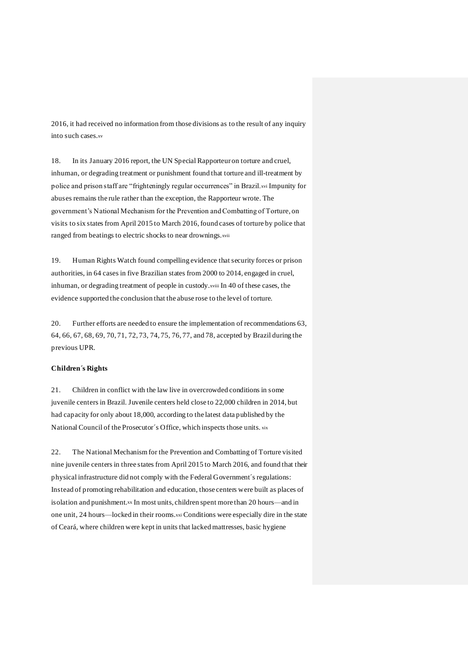2016, it had received no information from those divisions as to the result of any inquiry into such cases.xv

18. In its January 2016 report, the UN Special Rapporteur on torture and cruel, inhuman, or degrading treatment or punishment found that torture and ill-treatment by police and prison staff are "frighteningly regular occurrences" in Brazil.xvi Impunity for abuses remains the rule rather than the exception, the Rapporteur wrote. The government's National Mechanism for the Prevention and Combatting of Torture, on visits to six states from April 2015 to March 2016, found cases of torture by police that ranged from beatings to electric shocks to near drownings.xvii

19. Human Rights Watch found compelling evidence that security forces or prison authorities, in 64 cases in five Brazilian states from 2000 to 2014, engaged in cruel, inhuman, or degrading treatment of people in custody.xviii In 40 of these cases, the evidence supported the conclusion that the abuse rose to the level of torture.

20. Further efforts are needed to ensure the implementation of recommendations 63, 64, 66, 67, 68, 69, 70, 71, 72, 73, 74, 75, 76, 77, and 78, accepted by Brazil during the previous UPR.

#### **Children´s Rights**

21. Children in conflict with the law live in overcrowded conditions in some juvenile centers in Brazil. Juvenile centers held close to 22,000 children in 2014, but had capacity for only about 18,000, according to the latest data published by the National Council of the Prosecutor´s Office, which inspects those units. xix

22. The National Mechanism for the Prevention and Combatting of Torture visited nine juvenile centers in three states from April 2015 to March 2016, and found that their physical infrastructure did not comply with the Federal Government´s regulations: Instead of promoting rehabilitation and education, those centers were built as places of isolation and punishment.xx In most units, children spent more than 20 hours—and in one unit, 24 hours—locked in their rooms.xxi Conditions were especially dire in the state of Ceará, where children were kept in units that lacked mattresses, basic hygiene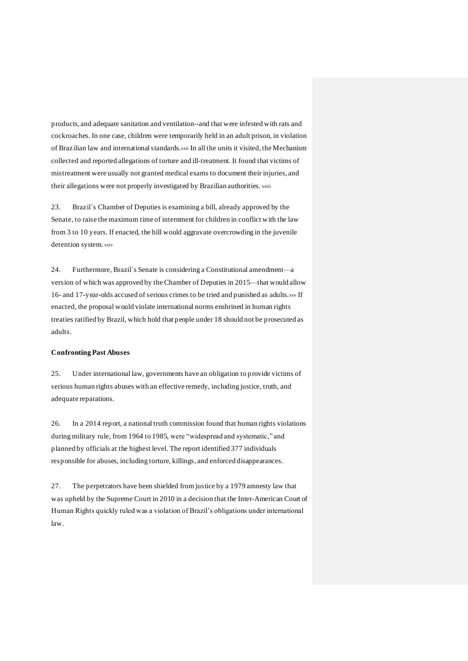products, and adequate sanitation and ventilation--and that were infested with rats and cockroaches. In one case, children were temporarily held in an adult prison, in violation of Brazilian law and international standards.xxii In all the units it visited, the Mechanism collected and reported allegations of torture and ill-treatment. It found that victims of mistreatment were usually not granted medical exams to document their injuries, and their allegations were not properly investigated by Brazilian authorities. xxiii

23. Brazil´s Chamber of Deputies is examining a bill, already approved by the Senate, to raise the maximum time of internment for children in conflict with the law from 3 to 10 years. If enacted, the bill would aggravate overcrowding in the juvenile detention system. xxiv

24. Furthermore, Brazil´s Senate is considering a Constitutional amendment—a version of which was approved by the Chamber of Deputies in 2015—that would allow 16- and 17-year-olds accused of serious crimes to be tried and punished as adults.xxv If enacted, the proposal would violate international norms enshrined in human rights treaties ratified by Brazil, which hold that people under 18 should not be prosecuted as adults.

#### **Confronting Past Abuses**

25. Under international law, governments have an obligation to provide victims of serious human rights abuses with an effective remedy, including justice, truth, and adequate reparations.

26. In a 2014 report, a national truth commission found that human rights violations during military rule, from 1964 to 1985, were "widespread and systematic," and planned by officials at the highest level. The report identified 377 individuals responsible for abuses, including torture, killings, and enforced disappearances.

27. The perpetrators have been shielded from justice by a 1979 amnesty law that was upheld by the Supreme Court in 2010 in a decision that the Inter-American Court of Human Rights quickly ruled was a violation of Brazil's obligations under international law.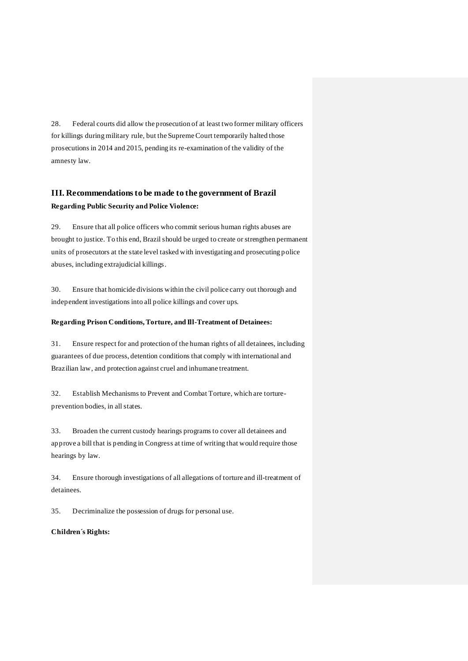28. Federal courts did allow the prosecution of at least two former military officers for killings during military rule, but the Supreme Court temporarily halted those prosecutions in 2014 and 2015, pending its re-examination of the validity of the amnesty law.

## **III. Recommendations to be made to the government of Brazil Regarding Public Security and Police Violence:**

29. Ensure that all police officers who commit serious human rights abuses are brought to justice. To this end, Brazil should be urged to create or strengthen permanent units of prosecutors at the state level tasked with investigating and prosecuting police abuses, including extrajudicial killings.

30. Ensure that homicide divisions within the civil police carry out thorough and independent investigations into all police killings and cover ups.

#### **Regarding Prison Conditions, Torture, and Ill-Treatment of Detainees:**

31. Ensure respect for and protection of the human rights of all detainees, including guarantees of due process, detention conditions that comply with international and Brazilian law, and protection against cruel and inhumane treatment.

32. Establish Mechanisms to Prevent and Combat Torture, which are tortureprevention bodies, in all states.

33. Broaden the current custody hearings programs to cover all detainees and approve a bill that is pending in Congress at time of writing that would require those hearings by law.

34. Ensure thorough investigations of all allegations of torture and ill-treatment of detainees.

35. Decriminalize the possession of drugs for personal use.

### **Children´s Rights:**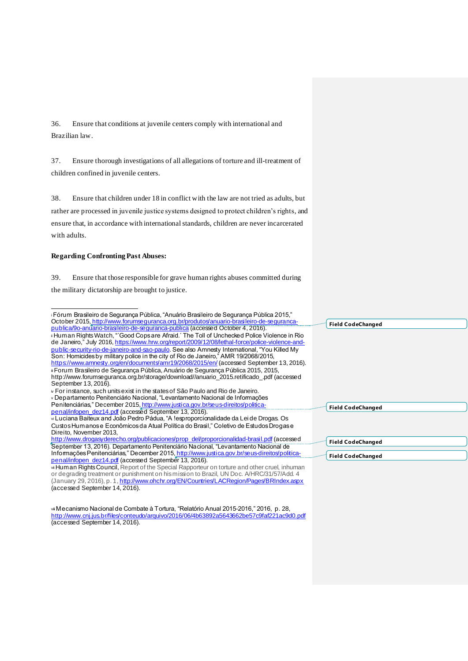36. Ensure that conditions at juvenile centers comply with international and Brazilian law.

37. Ensure thorough investigations of all allegations of torture and ill-treatment of children confined in juvenile centers.

38. Ensure that children under 18 in conflict with the law are not tried as adults, but rather are processed in juvenile justice systems designed to protect children's rights, and ensure that, in accordance with international standards, children are never incarcerated with adults.

#### **Regarding Confronting Past Abuses:**

1

(accessed September 14, 2016).

39. Ensure that those responsible for grave human rights abuses committed during the military dictatorship are brought to justice.

| <b>Field CodeChanged</b> |
|--------------------------|
|                          |
|                          |
|                          |
|                          |
|                          |
|                          |
|                          |
|                          |
|                          |
|                          |
|                          |
| <b>Field CodeChanged</b> |
|                          |
|                          |
|                          |
|                          |
| <b>Field CodeChanged</b> |
|                          |
| <b>Field CodeChanged</b> |
|                          |
|                          |
|                          |
|                          |
|                          |

vii Mecanismo Nacional de Combate à Tortura, "Relatório Anual 2015-2016," 2016, p. 28, http://www.cnj.jus.br/files/conteudo/arquivo/2016/06/4b63892a5643662be57c9faf221ac9d0.pdf (accessed September 14, 2016).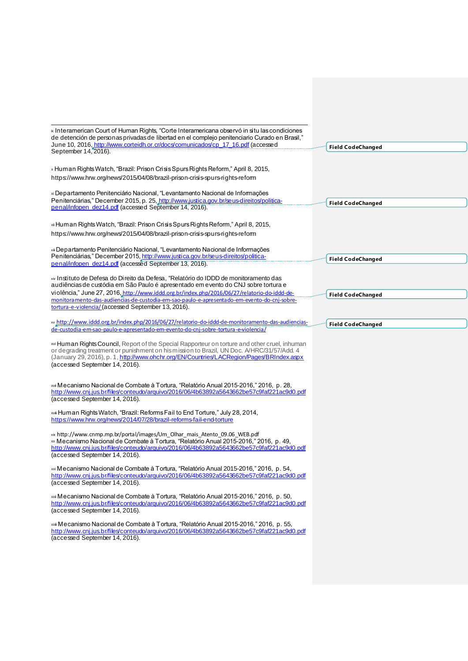| « Interamerican Court of Human Rights, "Corte Interamericana observó in situ las condiciones<br>de detención de personas privadas de libertad en el complejo penitenciario Curado en Brasil,"<br>June 10, 2016, http://www.corteidh.or.cr/docs/comunicados/cp 17 16.pdf (accessed                                                                                                                                                                                                                                                                                                                                                                                                                                                                                                                                                                                                                                                                                                                                                                                                                                                                                                                                                                                                                                                                                                                                                                                  |                          |
|--------------------------------------------------------------------------------------------------------------------------------------------------------------------------------------------------------------------------------------------------------------------------------------------------------------------------------------------------------------------------------------------------------------------------------------------------------------------------------------------------------------------------------------------------------------------------------------------------------------------------------------------------------------------------------------------------------------------------------------------------------------------------------------------------------------------------------------------------------------------------------------------------------------------------------------------------------------------------------------------------------------------------------------------------------------------------------------------------------------------------------------------------------------------------------------------------------------------------------------------------------------------------------------------------------------------------------------------------------------------------------------------------------------------------------------------------------------------|--------------------------|
| September 14, 2016).                                                                                                                                                                                                                                                                                                                                                                                                                                                                                                                                                                                                                                                                                                                                                                                                                                                                                                                                                                                                                                                                                                                                                                                                                                                                                                                                                                                                                                               | <b>Field CodeChanged</b> |
|                                                                                                                                                                                                                                                                                                                                                                                                                                                                                                                                                                                                                                                                                                                                                                                                                                                                                                                                                                                                                                                                                                                                                                                                                                                                                                                                                                                                                                                                    |                          |
| × Human Rights Watch, "Brazil: Prison Crisis Spurs Rights Reform," April 8, 2015,<br>https://www.hrw.org/news/2015/04/08/brazil-prison-crisis-spurs-rights-reform                                                                                                                                                                                                                                                                                                                                                                                                                                                                                                                                                                                                                                                                                                                                                                                                                                                                                                                                                                                                                                                                                                                                                                                                                                                                                                  |                          |
| » Departamento Penitenciário Nacional, "Levantamento Nacional de Informações<br>Penitenciárias," December 2015, p. 25, http://www.justica.gov.br/seus-direitos/politica-                                                                                                                                                                                                                                                                                                                                                                                                                                                                                                                                                                                                                                                                                                                                                                                                                                                                                                                                                                                                                                                                                                                                                                                                                                                                                           |                          |
| penal/infopen_dez14.pdf (accessed September 14, 2016).                                                                                                                                                                                                                                                                                                                                                                                                                                                                                                                                                                                                                                                                                                                                                                                                                                                                                                                                                                                                                                                                                                                                                                                                                                                                                                                                                                                                             | <b>Field CodeChanged</b> |
|                                                                                                                                                                                                                                                                                                                                                                                                                                                                                                                                                                                                                                                                                                                                                                                                                                                                                                                                                                                                                                                                                                                                                                                                                                                                                                                                                                                                                                                                    |                          |
| xi Human Rights Watch, "Brazil: Prison Crisis Spurs Rights Reform," April 8, 2015,                                                                                                                                                                                                                                                                                                                                                                                                                                                                                                                                                                                                                                                                                                                                                                                                                                                                                                                                                                                                                                                                                                                                                                                                                                                                                                                                                                                 |                          |
| https://www.hrw.org/news/2015/04/08/brazil-prison-crisis-spurs-rights-reform                                                                                                                                                                                                                                                                                                                                                                                                                                                                                                                                                                                                                                                                                                                                                                                                                                                                                                                                                                                                                                                                                                                                                                                                                                                                                                                                                                                       |                          |
| xii Departamento Penitenciário Nacional, "Levantamento Nacional de Informações<br>Penitenciárias," December 2015, http://www.justica.gov.br/seus-direitos/politica-                                                                                                                                                                                                                                                                                                                                                                                                                                                                                                                                                                                                                                                                                                                                                                                                                                                                                                                                                                                                                                                                                                                                                                                                                                                                                                |                          |
| penal/infopen_dez14.pdf (accessed September 13, 2016).                                                                                                                                                                                                                                                                                                                                                                                                                                                                                                                                                                                                                                                                                                                                                                                                                                                                                                                                                                                                                                                                                                                                                                                                                                                                                                                                                                                                             | <b>Field CodeChanged</b> |
| xiv Instituto de Defesa do Direito da Defesa, "Relatório do IDDD de monitoramento das<br>audiências de custódia em São Paulo é apresentado em evento do CNJ sobre tortura e                                                                                                                                                                                                                                                                                                                                                                                                                                                                                                                                                                                                                                                                                                                                                                                                                                                                                                                                                                                                                                                                                                                                                                                                                                                                                        |                          |
| violência," June 27, 2016, http://www.iddd.org.br/index.php/2016/06/27/relatorio-do-iddd-de-                                                                                                                                                                                                                                                                                                                                                                                                                                                                                                                                                                                                                                                                                                                                                                                                                                                                                                                                                                                                                                                                                                                                                                                                                                                                                                                                                                       | <b>Field CodeChanged</b> |
| monitora mento-das-audiencias-de-custodia-em-sao-paulo-e-apresenta do-em-evento-do-cnj-sobre-                                                                                                                                                                                                                                                                                                                                                                                                                                                                                                                                                                                                                                                                                                                                                                                                                                                                                                                                                                                                                                                                                                                                                                                                                                                                                                                                                                      |                          |
| tortura-e-violencia/ (accessed September 13, 2016).                                                                                                                                                                                                                                                                                                                                                                                                                                                                                                                                                                                                                                                                                                                                                                                                                                                                                                                                                                                                                                                                                                                                                                                                                                                                                                                                                                                                                |                          |
| xv http://www.iddd.org.br/index.php/2016/06/27/relatorio-do-iddd-de-monitoramento-das-audiencias-<br>de-custodia-em-sao-paulo-e-apresentado-em-evento-do-cni-sobre-tortura-e-violencia/                                                                                                                                                                                                                                                                                                                                                                                                                                                                                                                                                                                                                                                                                                                                                                                                                                                                                                                                                                                                                                                                                                                                                                                                                                                                            | <b>Field CodeChanged</b> |
| xvi Human Rights Council, Report of the Special Rapporteur on torture and other cruel, inhuman<br>or degrading treatment or punishment on his mission to Brazil, UN Doc. A/HRC/31/57/Add. 4<br>(January 29, 2016), p. 1, http://www.ohchr.org/EN/Countries/LACRegion/Pages/BRIndex.aspx<br>(accessed September 14, 2016).<br>xvi Mecanismo Nacional de Combate à Tortura, "Relatório Anual 2015-2016," 2016, p. 28,<br>http://www.cnj.jus.br/files/conteudo/arquivo/2016/06/4b63892a5643662be57c9faf221ac9d0.pdf<br>(accessed September 14, 2016).<br>xvii Human Rights Watch, "Brazil: Reforms Fail to End Torture," July 28, 2014,<br>https://www.hrw.org/news/2014/07/28/brazil-reforms-fail-end-torture<br>xix http://www.cnmp.mp.br/portal/images/Um_Olhar_mais_Atento_09.06_WEB.pdf<br>» Mecanismo Nacional de Combate à Tortura, "Relatório Anual 2015-2016," 2016, p. 49,<br>http://www.cnj.jus.br/files/conteudo/arquivo/2016/06/4b63892a5643662be57c9faf221ac9d0.pdf<br>(accessed September 14, 2016).<br>xxi Mecanismo Nacional de Combate à Tortura, "Relatório Anual 2015-2016," 2016, p. 54,<br>http://www.cnj.jus.br/files/conteudo/arquivo/2016/06/4b63892a5643662be57c9faf221ac9d0.pdf<br>(accessed September 14, 2016).<br>xxi Mecanismo Nacional de Combate à Tortura, "Relatório Anual 2015-2016," 2016, p. 50,<br>http://www.cnj.jus.br/files/conteudo/arquivo/2016/06/4b63892a5643662be57c9faf221ac9d0.pdf<br>(accessed September 14, 2016). |                          |
| xxii Mecanismo Nacional de Combate à Tortura, "Relatório Anual 2015-2016," 2016, p. 55,                                                                                                                                                                                                                                                                                                                                                                                                                                                                                                                                                                                                                                                                                                                                                                                                                                                                                                                                                                                                                                                                                                                                                                                                                                                                                                                                                                            |                          |
| http://www.cnj.jus.br/files/conteudo/arquivo/2016/06/4b63892a5643662be57c9faf221ac9d0.pdf<br>(accessed September 14, 2016).                                                                                                                                                                                                                                                                                                                                                                                                                                                                                                                                                                                                                                                                                                                                                                                                                                                                                                                                                                                                                                                                                                                                                                                                                                                                                                                                        |                          |